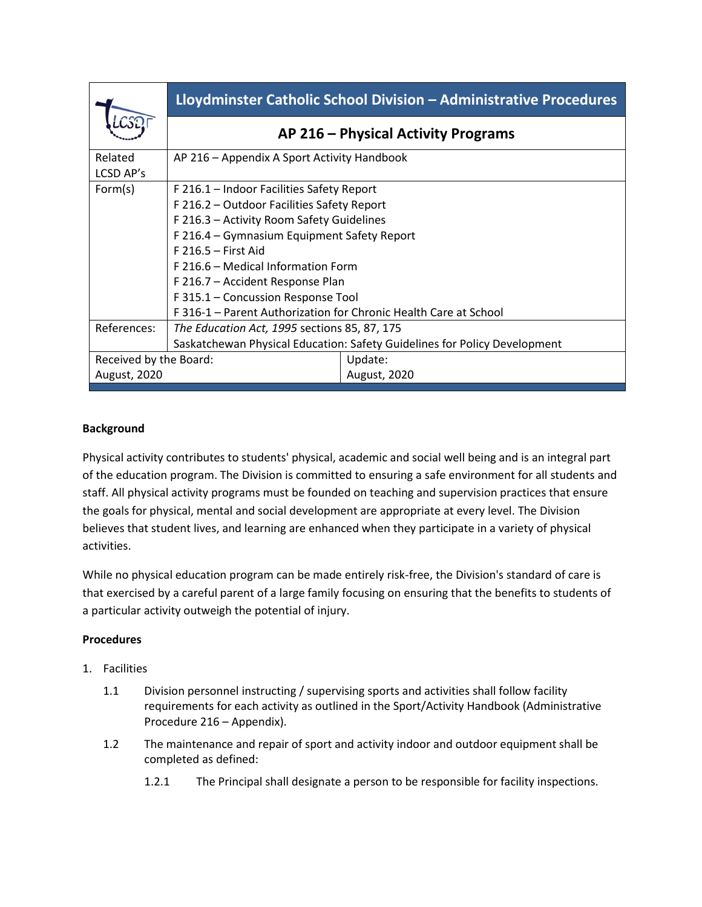|                                                                           | Lloydminster Catholic School Division - Administrative Procedures |
|---------------------------------------------------------------------------|-------------------------------------------------------------------|
|                                                                           | AP 216 - Physical Activity Programs                               |
| AP 216 - Appendix A Sport Activity Handbook                               |                                                                   |
| F 216.1 - Indoor Facilities Safety Report                                 |                                                                   |
| F 216.2 - Outdoor Facilities Safety Report                                |                                                                   |
| F 216.3 - Activity Room Safety Guidelines                                 |                                                                   |
| F 216.4 – Gymnasium Equipment Safety Report                               |                                                                   |
| $F$ 216.5 – First Aid                                                     |                                                                   |
| F 216.6 – Medical Information Form                                        |                                                                   |
| F 216.7 - Accident Response Plan                                          |                                                                   |
| F 315.1 – Concussion Response Tool                                        |                                                                   |
| F 316-1 - Parent Authorization for Chronic Health Care at School          |                                                                   |
| The Education Act, 1995 sections 85, 87, 175                              |                                                                   |
| Saskatchewan Physical Education: Safety Guidelines for Policy Development |                                                                   |
| Received by the Board:                                                    | Update:                                                           |
|                                                                           | <b>August, 2020</b>                                               |
|                                                                           |                                                                   |

## **Background**

Physical activity contributes to students' physical, academic and social well being and is an integral part of the education program. The Division is committed to ensuring a safe environment for all students and staff. All physical activity programs must be founded on teaching and supervision practices that ensure the goals for physical, mental and social development are appropriate at every level. The Division believes that student lives, and learning are enhanced when they participate in a variety of physical activities.

While no physical education program can be made entirely risk-free, the Division's standard of care is that exercised by a careful parent of a large family focusing on ensuring that the benefits to students of a particular activity outweigh the potential of injury.

## **Procedures**

- 1. Facilities
	- 1.1 Division personnel instructing / supervising sports and activities shall follow facility requirements for each activity as outlined in the Sport/Activity Handbook (Administrative Procedure 216 – Appendix).
	- 1.2 The maintenance and repair of sport and activity indoor and outdoor equipment shall be completed as defined:
		- 1.2.1 The Principal shall designate a person to be responsible for facility inspections.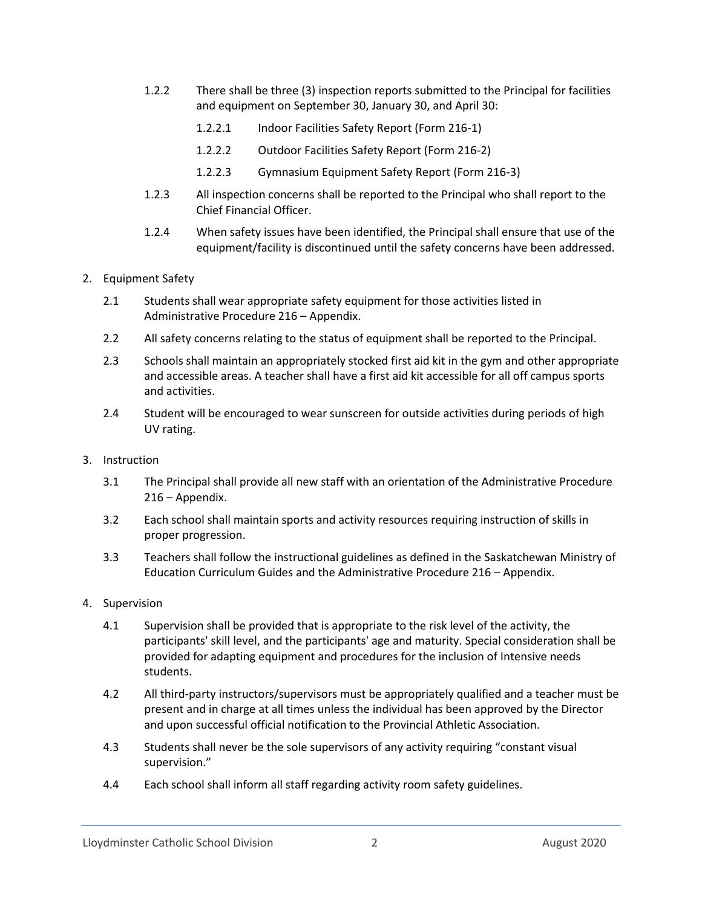- 1.2.2 There shall be three (3) inspection reports submitted to the Principal for facilities and equipment on September 30, January 30, and April 30:
	- 1.2.2.1 Indoor Facilities Safety Report (Form 216-1)
	- 1.2.2.2 Outdoor Facilities Safety Report (Form 216-2)
	- 1.2.2.3 Gymnasium Equipment Safety Report (Form 216-3)
- 1.2.3 All inspection concerns shall be reported to the Principal who shall report to the Chief Financial Officer.
- 1.2.4 When safety issues have been identified, the Principal shall ensure that use of the equipment/facility is discontinued until the safety concerns have been addressed.
- 2. Equipment Safety
	- 2.1 Students shall wear appropriate safety equipment for those activities listed in Administrative Procedure 216 – Appendix.
	- 2.2 All safety concerns relating to the status of equipment shall be reported to the Principal.
	- 2.3 Schools shall maintain an appropriately stocked first aid kit in the gym and other appropriate and accessible areas. A teacher shall have a first aid kit accessible for all off campus sports and activities.
	- 2.4 Student will be encouraged to wear sunscreen for outside activities during periods of high UV rating.
- 3. Instruction
	- 3.1 The Principal shall provide all new staff with an orientation of the Administrative Procedure 216 – Appendix.
	- 3.2 Each school shall maintain sports and activity resources requiring instruction of skills in proper progression.
	- 3.3 Teachers shall follow the instructional guidelines as defined in the Saskatchewan Ministry of Education Curriculum Guides and the Administrative Procedure 216 – Appendix.
- 4. Supervision
	- 4.1 Supervision shall be provided that is appropriate to the risk level of the activity, the participants' skill level, and the participants' age and maturity. Special consideration shall be provided for adapting equipment and procedures for the inclusion of Intensive needs students.
	- 4.2 All third-party instructors/supervisors must be appropriately qualified and a teacher must be present and in charge at all times unless the individual has been approved by the Director and upon successful official notification to the Provincial Athletic Association.
	- 4.3 Students shall never be the sole supervisors of any activity requiring "constant visual supervision."
	- 4.4 Each school shall inform all staff regarding activity room safety guidelines.